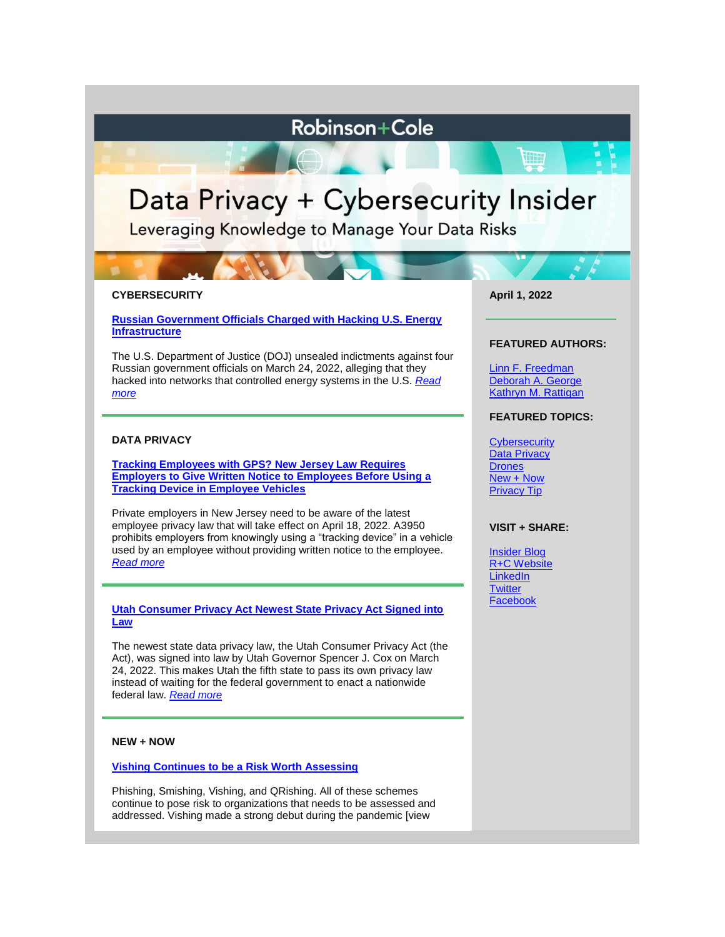# **Robinson+Cole**

# Data Privacy + Cybersecurity Insider

Leveraging Knowledge to Manage Your Data Risks

# **CYBERSECURITY**

**[Russian Government Officials Charged with Hacking U.S. Energy](https://www.dataprivacyandsecurityinsider.com/2022/04/russian-government-officials-charged-with-hacking-u-s-energy-infrastructure/)  [Infrastructure](https://www.dataprivacyandsecurityinsider.com/2022/04/russian-government-officials-charged-with-hacking-u-s-energy-infrastructure/)**

The U.S. Department of Justice (DOJ) unsealed indictments against four Russian government officials on March 24, 2022, alleging that they hacked into networks that controlled energy systems in the U.S. *[Read](https://www.dataprivacyandsecurityinsider.com/2022/04/russian-government-officials-charged-with-hacking-u-s-energy-infrastructure/)  [more](https://www.dataprivacyandsecurityinsider.com/2022/04/russian-government-officials-charged-with-hacking-u-s-energy-infrastructure/)*

# **DATA PRIVACY**

**Tracking Employees with [GPS? New Jersey Law Requires](https://www.dataprivacyandsecurityinsider.com/2022/04/tracking-employees-with-gps-new-jersey-law-requires-employers-to-give-written-notice-to-employees-before-using-a-tracking-device-in-employee-vehicles/)  [Employers to Give Written Notice to Employees Before Using a](https://www.dataprivacyandsecurityinsider.com/2022/04/tracking-employees-with-gps-new-jersey-law-requires-employers-to-give-written-notice-to-employees-before-using-a-tracking-device-in-employee-vehicles/)  [Tracking Device in Employee Vehicles](https://www.dataprivacyandsecurityinsider.com/2022/04/tracking-employees-with-gps-new-jersey-law-requires-employers-to-give-written-notice-to-employees-before-using-a-tracking-device-in-employee-vehicles/)**

Private employers in New Jersey need to be aware of the latest employee privacy law that will take effect on April 18, 2022. A3950 prohibits employers from knowingly using a "tracking device" in a vehicle used by an employee without providing written notice to the employee. *[Read more](https://www.dataprivacyandsecurityinsider.com/2022/04/tracking-employees-with-gps-new-jersey-law-requires-employers-to-give-written-notice-to-employees-before-using-a-tracking-device-in-employee-vehicles/)*

#### **[Utah Consumer Privacy Act Newest State Privacy Act Signed into](https://www.dataprivacyandsecurityinsider.com/2022/03/utah-consumer-privacy-act-newest-state-privacy-act-signed-into-law/)  [Law](https://www.dataprivacyandsecurityinsider.com/2022/03/utah-consumer-privacy-act-newest-state-privacy-act-signed-into-law/)**

The newest state data privacy law, the Utah Consumer Privacy Act (the Act), was signed into law by Utah Governor Spencer J. Cox on March 24, 2022. This makes Utah the fifth state to pass its own privacy law instead of waiting for the federal government to enact a nationwide federal law. *[Read more](https://www.dataprivacyandsecurityinsider.com/2022/03/utah-consumer-privacy-act-newest-state-privacy-act-signed-into-law/)*

# **NEW + NOW**

# **[Vishing Continues to be a Risk Worth Assessing](https://www.dataprivacyandsecurityinsider.com/2022/04/vishing-continues-to-be-a-risk-worth-assessing/)**

Phishing, Smishing, Vishing, and QRishing. All of these schemes continue to pose risk to organizations that needs to be assessed and addressed. Vishing made a strong debut during the pandemic [view

#### **April 1, 2022**

**WEEF** 

#### **FEATURED AUTHORS:**

[Linn F. Freedman](https://www.rc.com/people/LinnFFreedman.cfm) [Deborah A. George](http://www.rc.com/people/DeborahAGeorge.cfm) [Kathryn M. Rattigan](https://www.rc.com/people/kathrynmrattigan.cfm)

# **FEATURED TOPICS:**

**[Cybersecurity](https://www.dataprivacyandsecurityinsider.com/category/cybersecurity/)** [Data Privacy](https://www.dataprivacyandsecurityinsider.com/category/data-privacy/) **[Drones](https://www.dataprivacyandsecurityinsider.com/category/drones/)** [New + Now](https://www.dataprivacyandsecurityinsider.com/category/new-now/) [Privacy Tip](https://www.dataprivacyandsecurityinsider.com/category/privacy-tips/)

#### **VISIT + SHARE:**

[Insider Blog](https://www.dataprivacyandsecurityinsider.com/) [R+C Website](http://www.rc.com/) **[LinkedIn](https://www.linkedin.com/company/robinson-&-cole-llp) [Twitter](https://twitter.com/RobinsonCole) [Facebook](https://www.facebook.com/RobinsonCole-144331422248207/)**